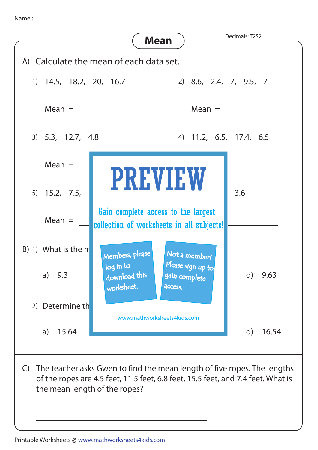Name :